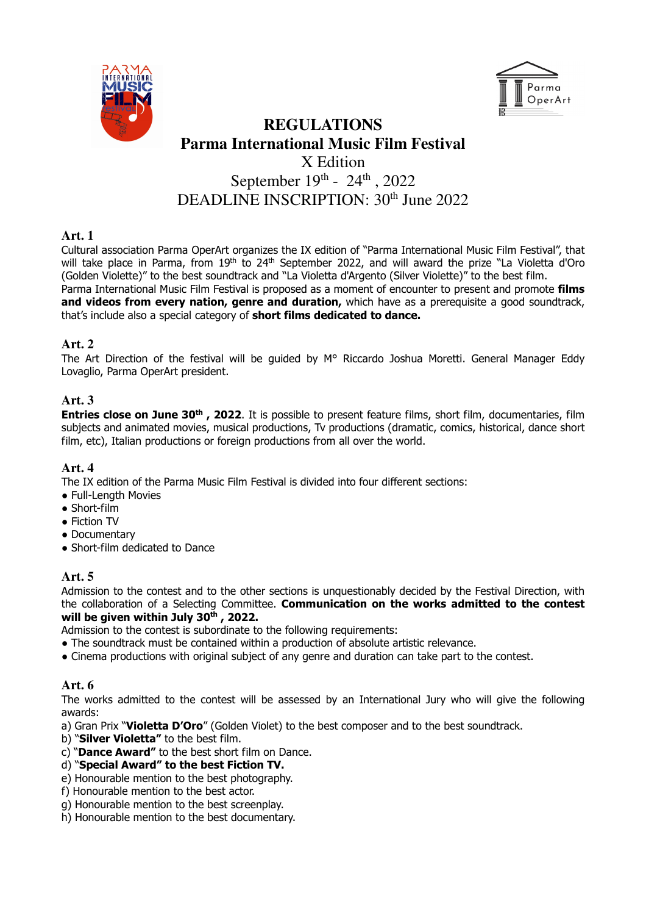



# **REGULATIONS Parma International Music Film Festival**  X Edition September  $19^{th}$  -  $24^{th}$ , 2022 DEADLINE INSCRIPTION: 30<sup>th</sup> June 2022

## **Art. 1**

Cultural association Parma OperArt organizes the IX edition of "Parma International Music Film Festival", that will take place in Parma, from 19<sup>th</sup> to 24<sup>th</sup> September 2022, and will award the prize "La Violetta d'Oro (Golden Violette)" to the best soundtrack and "La Violetta d'Argento (Silver Violette)" to the best film. Parma International Music Film Festival is proposed as a moment of encounter to present and promote films

and videos from every nation, genre and duration, which have as a prerequisite a good soundtrack, that's include also a special category of short films dedicated to dance.

# **Art. 2**

The Art Direction of the festival will be guided by M° Riccardo Joshua Moretti. General Manager Eddy Lovaglio, Parma OperArt president.

# **Art. 3**

Entries close on June 30<sup>th</sup>, 2022. It is possible to present feature films, short film, documentaries, film subjects and animated movies, musical productions, Tv productions (dramatic, comics, historical, dance short film, etc), Italian productions or foreign productions from all over the world.

## **Art. 4**

The IX edition of the Parma Music Film Festival is divided into four different sections:

- Full-Length Movies
- Short-film
- Fiction TV
- Documentary
- Short-film dedicated to Dance

# **Art. 5**

Admission to the contest and to the other sections is unquestionably decided by the Festival Direction, with the collaboration of a Selecting Committee. Communication on the works admitted to the contest will be given within July  $30<sup>th</sup>$ , 2022.

Admission to the contest is subordinate to the following requirements:

- The soundtrack must be contained within a production of absolute artistic relevance.
- Cinema productions with original subject of any genre and duration can take part to the contest.

# **Art. 6**

The works admitted to the contest will be assessed by an International Jury who will give the following awards:

a) Gran Prix "Violetta D'Oro" (Golden Violet) to the best composer and to the best soundtrack.

b) "Silver Violetta" to the best film.

- c) "Dance Award" to the best short film on Dance.
- d) "Special Award" to the best Fiction TV.
- e) Honourable mention to the best photography.
- f) Honourable mention to the best actor.
- g) Honourable mention to the best screenplay.
- h) Honourable mention to the best documentary.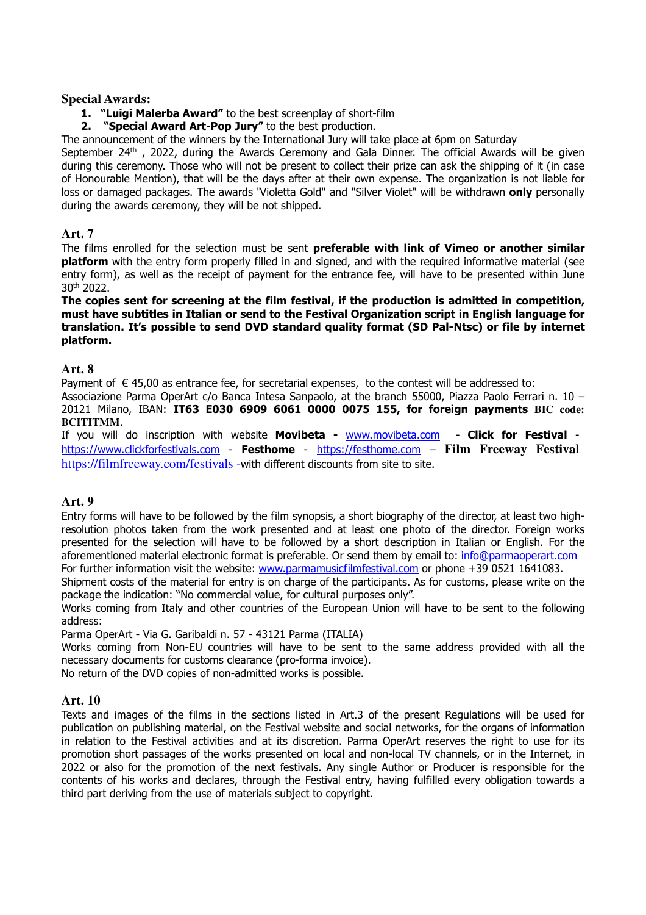#### **Special Awards:**

#### 1. "Luigi Malerba Award" to the best screenplay of short-film

2. "Special Award Art-Pop Jury" to the best production.

The announcement of the winners by the International Jury will take place at 6pm on Saturday

September  $24<sup>th</sup>$ , 2022, during the Awards Ceremony and Gala Dinner. The official Awards will be given during this ceremony. Those who will not be present to collect their prize can ask the shipping of it (in case of Honourable Mention), that will be the days after at their own expense. The organization is not liable for loss or damaged packages. The awards "Violetta Gold" and "Silver Violet" will be withdrawn only personally during the awards ceremony, they will be not shipped.

#### **Art. 7**

The films enrolled for the selection must be sent preferable with link of Vimeo or another similar **platform** with the entry form properly filled in and signed, and with the required informative material (see entry form), as well as the receipt of payment for the entrance fee, will have to be presented within June 30th 2022.

The copies sent for screening at the film festival, if the production is admitted in competition, must have subtitles in Italian or send to the Festival Organization script in English language for translation. It's possible to send DVD standard quality format (SD Pal-Ntsc) or file by internet platform.

#### **Art. 8**

Payment of  $\epsilon$  45,00 as entrance fee, for secretarial expenses, to the contest will be addressed to:

Associazione Parma OperArt c/o Banca Intesa Sanpaolo, at the branch 55000, Piazza Paolo Ferrari n. 10 – 20121 Milano, IBAN: IT63 E030 6909 6061 0000 0075 155, for foreign payments **BIC code: BCITITMM.** 

If you will do inscription with website Movibeta - www.movibeta.com - Click for Festival https://www.clickforfestivals.com - Festhome - https://festhome.com – **Film Freeway Festival** https://filmfreeway.com/festivals -with different discounts from site to site.

## **Art. 9**

Entry forms will have to be followed by the film synopsis, a short biography of the director, at least two highresolution photos taken from the work presented and at least one photo of the director. Foreign works presented for the selection will have to be followed by a short description in Italian or English. For the aforementioned material electronic format is preferable. Or send them by email to: info@parmaoperart.com For further information visit the website: www.parmamusicfilmfestival.com or phone +39 0521 1641083.

Shipment costs of the material for entry is on charge of the participants. As for customs, please write on the package the indication: "No commercial value, for cultural purposes only".

Works coming from Italy and other countries of the European Union will have to be sent to the following address:

Parma OperArt - Via G. Garibaldi n. 57 - 43121 Parma (ITALIA)

Works coming from Non-EU countries will have to be sent to the same address provided with all the necessary documents for customs clearance (pro-forma invoice).

No return of the DVD copies of non-admitted works is possible.

#### **Art. 10**

Texts and images of the films in the sections listed in Art.3 of the present Regulations will be used for publication on publishing material, on the Festival website and social networks, for the organs of information in relation to the Festival activities and at its discretion. Parma OperArt reserves the right to use for its promotion short passages of the works presented on local and non-local TV channels, or in the Internet, in 2022 or also for the promotion of the next festivals. Any single Author or Producer is responsible for the contents of his works and declares, through the Festival entry, having fulfilled every obligation towards a third part deriving from the use of materials subject to copyright.